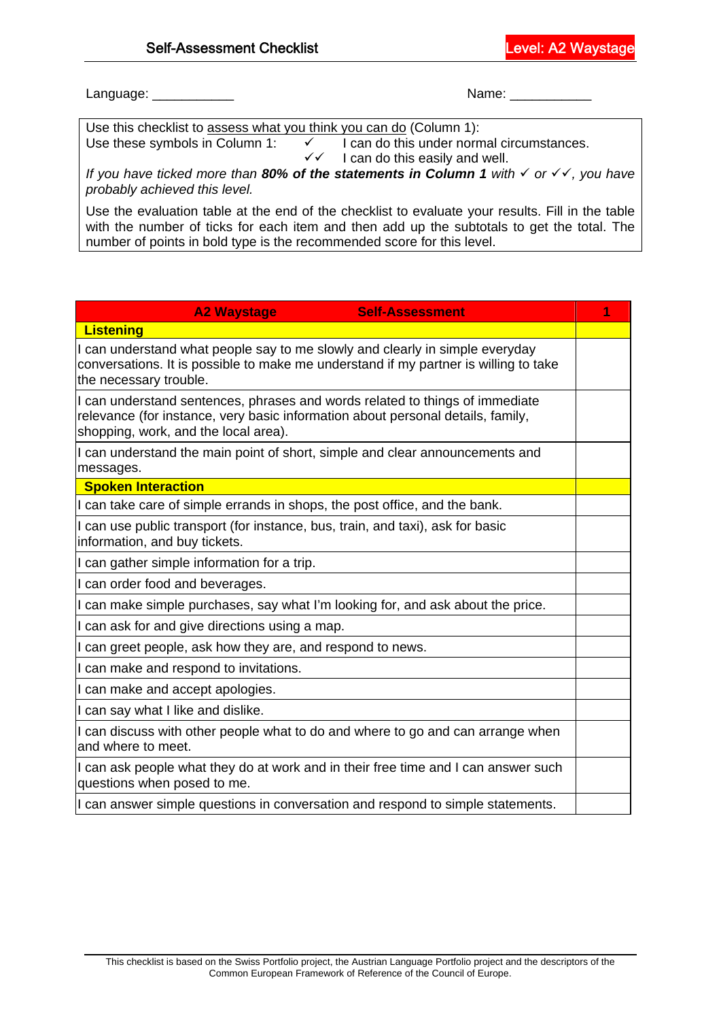Language: \_\_\_\_\_\_\_\_\_\_\_ Name: \_\_\_\_\_\_\_\_\_\_\_

Use this checklist to <u>assess what you think you can do</u> (Column 1):<br>Use these symbols in Column 1:  $\checkmark$  I can do this under norn

 $V = I$  can do this under normal circumstances.<br> $V = I$  can do this easily and well. I can do this easily and well.

*If you have ticked more than 80% of the statements in Column 1 with √ or √√, you have probably achieved this level.* 

Use the evaluation table at the end of the checklist to evaluate your results. Fill in the table with the number of ticks for each item and then add up the subtotals to get the total. The number of points in bold type is the recommended score for this level.

| <b>A2 Waystage</b><br><b>Self-Assessment</b>                                                                                                                                                            | 1 |  |  |  |
|---------------------------------------------------------------------------------------------------------------------------------------------------------------------------------------------------------|---|--|--|--|
| <b>Listening</b>                                                                                                                                                                                        |   |  |  |  |
| I can understand what people say to me slowly and clearly in simple everyday<br>conversations. It is possible to make me understand if my partner is willing to take<br>the necessary trouble.          |   |  |  |  |
| I can understand sentences, phrases and words related to things of immediate<br>relevance (for instance, very basic information about personal details, family,<br>shopping, work, and the local area). |   |  |  |  |
| I can understand the main point of short, simple and clear announcements and<br>messages.                                                                                                               |   |  |  |  |
| <b>Spoken Interaction</b>                                                                                                                                                                               |   |  |  |  |
| I can take care of simple errands in shops, the post office, and the bank.                                                                                                                              |   |  |  |  |
| I can use public transport (for instance, bus, train, and taxi), ask for basic<br>information, and buy tickets.                                                                                         |   |  |  |  |
| I can gather simple information for a trip.                                                                                                                                                             |   |  |  |  |
| I can order food and beverages.                                                                                                                                                                         |   |  |  |  |
| I can make simple purchases, say what I'm looking for, and ask about the price.                                                                                                                         |   |  |  |  |
| I can ask for and give directions using a map.                                                                                                                                                          |   |  |  |  |
| I can greet people, ask how they are, and respond to news.                                                                                                                                              |   |  |  |  |
| I can make and respond to invitations.                                                                                                                                                                  |   |  |  |  |
| I can make and accept apologies.                                                                                                                                                                        |   |  |  |  |
| I can say what I like and dislike.                                                                                                                                                                      |   |  |  |  |
| I can discuss with other people what to do and where to go and can arrange when<br>and where to meet.                                                                                                   |   |  |  |  |
| I can ask people what they do at work and in their free time and I can answer such<br>questions when posed to me.                                                                                       |   |  |  |  |
| I can answer simple questions in conversation and respond to simple statements.                                                                                                                         |   |  |  |  |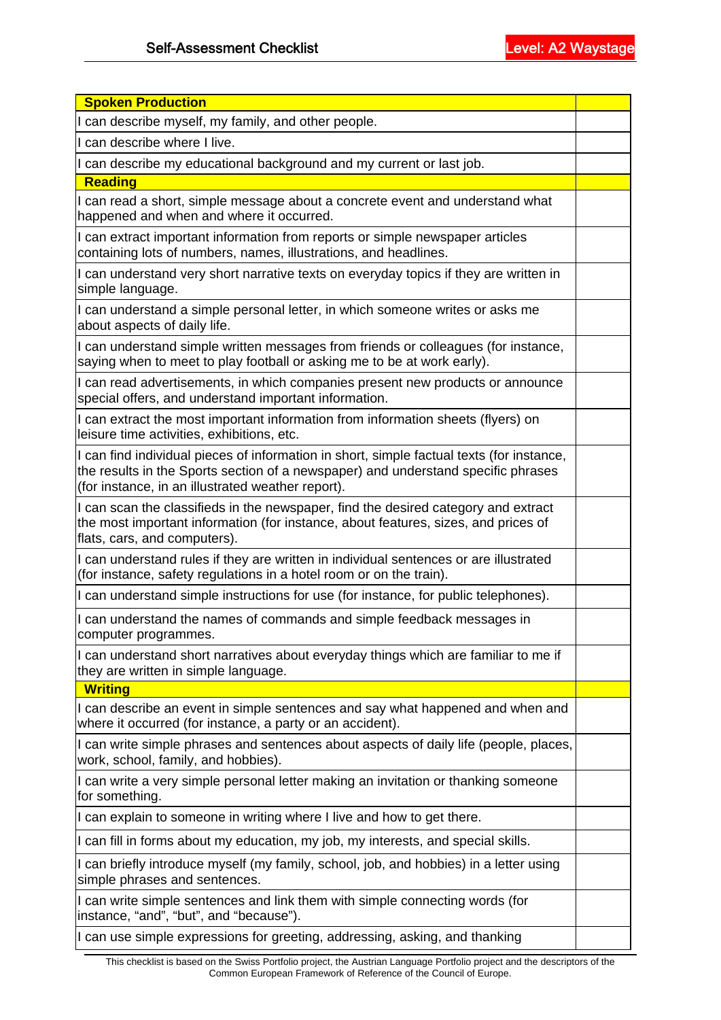| <b>Spoken Production</b>                                                                                                                                                                                                            |  |  |  |  |
|-------------------------------------------------------------------------------------------------------------------------------------------------------------------------------------------------------------------------------------|--|--|--|--|
| I can describe myself, my family, and other people.                                                                                                                                                                                 |  |  |  |  |
| I can describe where I live.                                                                                                                                                                                                        |  |  |  |  |
| I can describe my educational background and my current or last job.                                                                                                                                                                |  |  |  |  |
| <b>Reading</b>                                                                                                                                                                                                                      |  |  |  |  |
| can read a short, simple message about a concrete event and understand what<br>happened and when and where it occurred.                                                                                                             |  |  |  |  |
| I can extract important information from reports or simple newspaper articles<br>containing lots of numbers, names, illustrations, and headlines.                                                                                   |  |  |  |  |
| I can understand very short narrative texts on everyday topics if they are written in<br>simple language.                                                                                                                           |  |  |  |  |
| I can understand a simple personal letter, in which someone writes or asks me<br>about aspects of daily life.                                                                                                                       |  |  |  |  |
| I can understand simple written messages from friends or colleagues (for instance,<br>saying when to meet to play football or asking me to be at work early).                                                                       |  |  |  |  |
| I can read advertisements, in which companies present new products or announce<br>special offers, and understand important information.                                                                                             |  |  |  |  |
| I can extract the most important information from information sheets (flyers) on<br>leisure time activities, exhibitions, etc.                                                                                                      |  |  |  |  |
| I can find individual pieces of information in short, simple factual texts (for instance,<br>the results in the Sports section of a newspaper) and understand specific phrases<br>(for instance, in an illustrated weather report). |  |  |  |  |
| I can scan the classifieds in the newspaper, find the desired category and extract<br>the most important information (for instance, about features, sizes, and prices of<br>flats, cars, and computers).                            |  |  |  |  |
| I can understand rules if they are written in individual sentences or are illustrated<br>(for instance, safety regulations in a hotel room or on the train).                                                                        |  |  |  |  |
| I can understand simple instructions for use (for instance, for public telephones).                                                                                                                                                 |  |  |  |  |
| I can understand the names of commands and simple feedback messages in<br>computer programmes.                                                                                                                                      |  |  |  |  |
| I can understand short narratives about everyday things which are familiar to me if<br>they are written in simple language.                                                                                                         |  |  |  |  |
| <b>Writing</b>                                                                                                                                                                                                                      |  |  |  |  |
| I can describe an event in simple sentences and say what happened and when and<br>where it occurred (for instance, a party or an accident).                                                                                         |  |  |  |  |
| I can write simple phrases and sentences about aspects of daily life (people, places,<br>work, school, family, and hobbies).                                                                                                        |  |  |  |  |
| I can write a very simple personal letter making an invitation or thanking someone<br>for something.                                                                                                                                |  |  |  |  |
| I can explain to someone in writing where I live and how to get there.                                                                                                                                                              |  |  |  |  |
| I can fill in forms about my education, my job, my interests, and special skills.                                                                                                                                                   |  |  |  |  |
| I can briefly introduce myself (my family, school, job, and hobbies) in a letter using<br>simple phrases and sentences.                                                                                                             |  |  |  |  |
| I can write simple sentences and link them with simple connecting words (for<br>instance, "and", "but", and "because").                                                                                                             |  |  |  |  |
| I can use simple expressions for greeting, addressing, asking, and thanking                                                                                                                                                         |  |  |  |  |